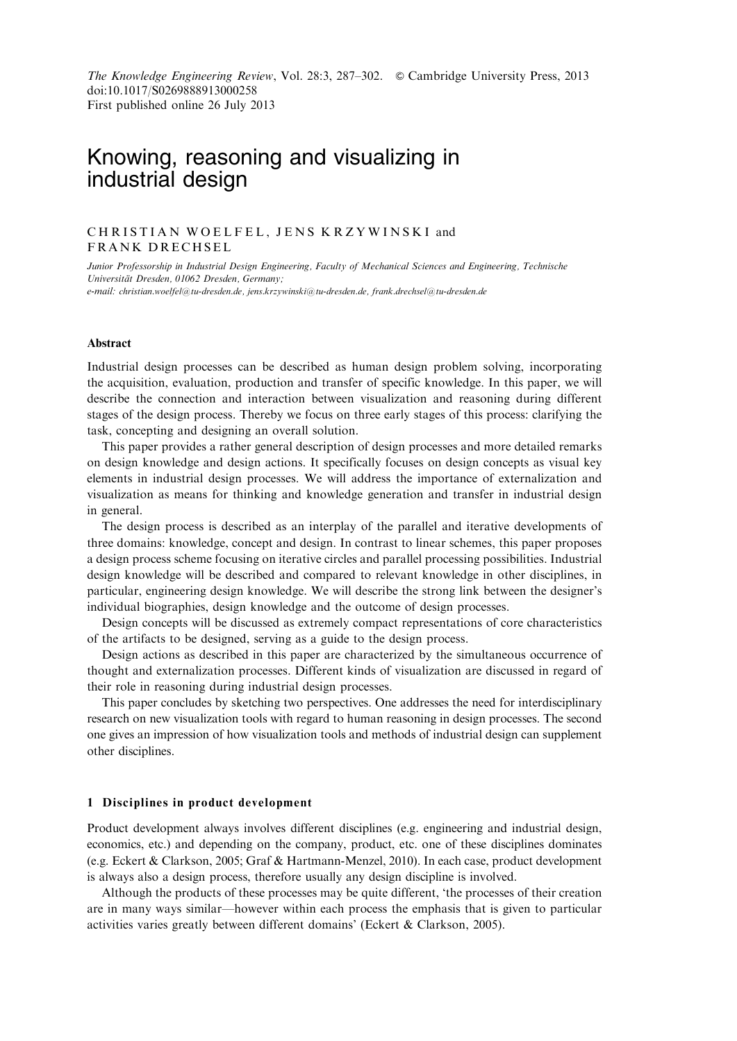The Knowledge Engineering Review, Vol. 28:3, 287–302. & Cambridge University Press, 2013 doi:10.1017/S0269888913000258 First published online 26 July 2013

# Knowing, reasoning and visualizing in industrial design

# CHRISTIAN WOELFEL, JENS KRZYWINSKI and FRANK DRECHSEL

Junior Professorship in Industrial Design Engineering, Faculty of Mechanical Sciences and Engineering, Technische Universität Dresden, 01062 Dresden, Germany; e-mail: christian.woelfel@tu-dresden.de, jens.krzywinski@tu-dresden.de, frank.drechsel@tu-dresden.de

# Abstract

Industrial design processes can be described as human design problem solving, incorporating the acquisition, evaluation, production and transfer of specific knowledge. In this paper, we will describe the connection and interaction between visualization and reasoning during different stages of the design process. Thereby we focus on three early stages of this process: clarifying the task, concepting and designing an overall solution.

This paper provides a rather general description of design processes and more detailed remarks on design knowledge and design actions. It specifically focuses on design concepts as visual key elements in industrial design processes. We will address the importance of externalization and visualization as means for thinking and knowledge generation and transfer in industrial design in general.

The design process is described as an interplay of the parallel and iterative developments of three domains: knowledge, concept and design. In contrast to linear schemes, this paper proposes a design process scheme focusing on iterative circles and parallel processing possibilities. Industrial design knowledge will be described and compared to relevant knowledge in other disciplines, in particular, engineering design knowledge. We will describe the strong link between the designer's individual biographies, design knowledge and the outcome of design processes.

Design concepts will be discussed as extremely compact representations of core characteristics of the artifacts to be designed, serving as a guide to the design process.

Design actions as described in this paper are characterized by the simultaneous occurrence of thought and externalization processes. Different kinds of visualization are discussed in regard of their role in reasoning during industrial design processes.

This paper concludes by sketching two perspectives. One addresses the need for interdisciplinary research on new visualization tools with regard to human reasoning in design processes. The second one gives an impression of how visualization tools and methods of industrial design can supplement other disciplines.

# 1 Disciplines in product development

Product development always involves different disciplines (e.g. engineering and industrial design, economics, etc.) and depending on the company, product, etc. one of these disciplines dominates (e.g. Eckert & Clarkson, [2005;](#page-14-0) Graf & Hartmann-Menzel, 2010). In each case, product development is always also a design process, therefore usually any design discipline is involved.

Although the products of these processes may be quite different, 'the processes of their creation are in many ways similar—however within each process the emphasis that is given to particular activities varies greatly between different domains' (Eckert & Clarkson, [2005](#page-14-0)).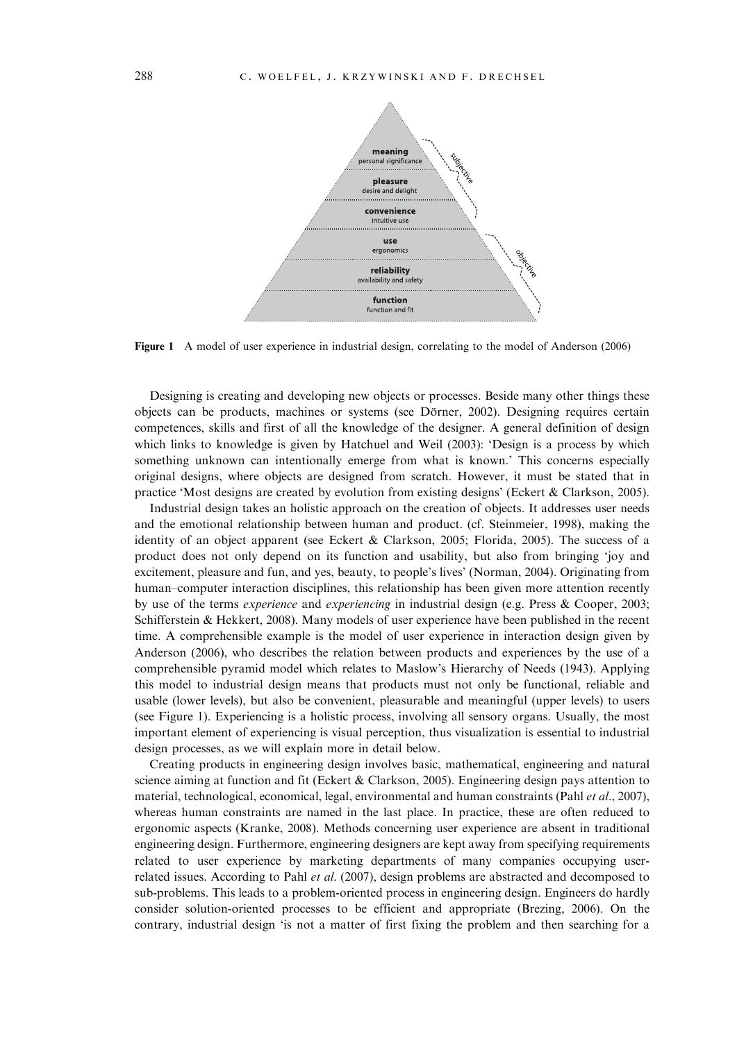

Figure 1 A model of user experience in industrial design, correlating to the model of Anderson ([2006\)](#page-14-0)

Designing is creating and developing new objects or processes. Beside many other things these objects can be products, machines or systems (see Dörner, [2002](#page-14-0)). Designing requires certain competences, skills and first of all the knowledge of the designer. A general definition of design which links to knowledge is given by Hatchuel and Weil ([2003\)](#page-14-0): 'Design is a process by which something unknown can intentionally emerge from what is known.' This concerns especially original designs, where objects are designed from scratch. However, it must be stated that in practice 'Most designs are created by evolution from existing designs' (Eckert & Clarkson, [2005\)](#page-14-0).

Industrial design takes an holistic approach on the creation of objects. It addresses user needs and the emotional relationship between human and product. (cf. Steinmeier, [1998](#page-15-0)), making the identity of an object apparent (see Eckert & Clarkson, [2005;](#page-14-0) Florida, [2005\)](#page-14-0). The success of a product does not only depend on its function and usability, but also from bringing 'joy and excitement, pleasure and fun, and yes, beauty, to people's lives' (Norman, [2004\)](#page-15-0). Originating from human–computer interaction disciplines, this relationship has been given more attention recently by use of the terms experience and experiencing in industrial design (e.g. Press & Cooper, [2003](#page-15-0); Schifferstein & Hekkert, [2008](#page-15-0)). Many models of user experience have been published in the recent time. A comprehensible example is the model of user experience in interaction design given by Anderson ([2006\)](#page-14-0), who describes the relation between products and experiences by the use of a comprehensible pyramid model which relates to Maslow's Hierarchy of Needs ([1943\)](#page-15-0). Applying this model to industrial design means that products must not only be functional, reliable and usable (lower levels), but also be convenient, pleasurable and meaningful (upper levels) to users (see Figure 1). Experiencing is a holistic process, involving all sensory organs. Usually, the most important element of experiencing is visual perception, thus visualization is essential to industrial design processes, as we will explain more in detail below.

Creating products in engineering design involves basic, mathematical, engineering and natural science aiming at function and fit (Eckert  $\&$  Clarkson, [2005](#page-14-0)). Engineering design pays attention to material, technological, economical, legal, environmental and human constraints (Pahl et al., [2007](#page-15-0)), whereas human constraints are named in the last place. In practice, these are often reduced to ergonomic aspects (Kranke, [2008](#page-15-0)). Methods concerning user experience are absent in traditional engineering design. Furthermore, engineering designers are kept away from specifying requirements related to user experience by marketing departments of many companies occupying userrelated issues. According to Pahl *et al.* ([2007](#page-15-0)), design problems are abstracted and decomposed to sub-problems. This leads to a problem-oriented process in engineering design. Engineers do hardly consider solution-oriented processes to be efficient and appropriate (Brezing, [2006\)](#page-14-0). On the contrary, industrial design 'is not a matter of first fixing the problem and then searching for a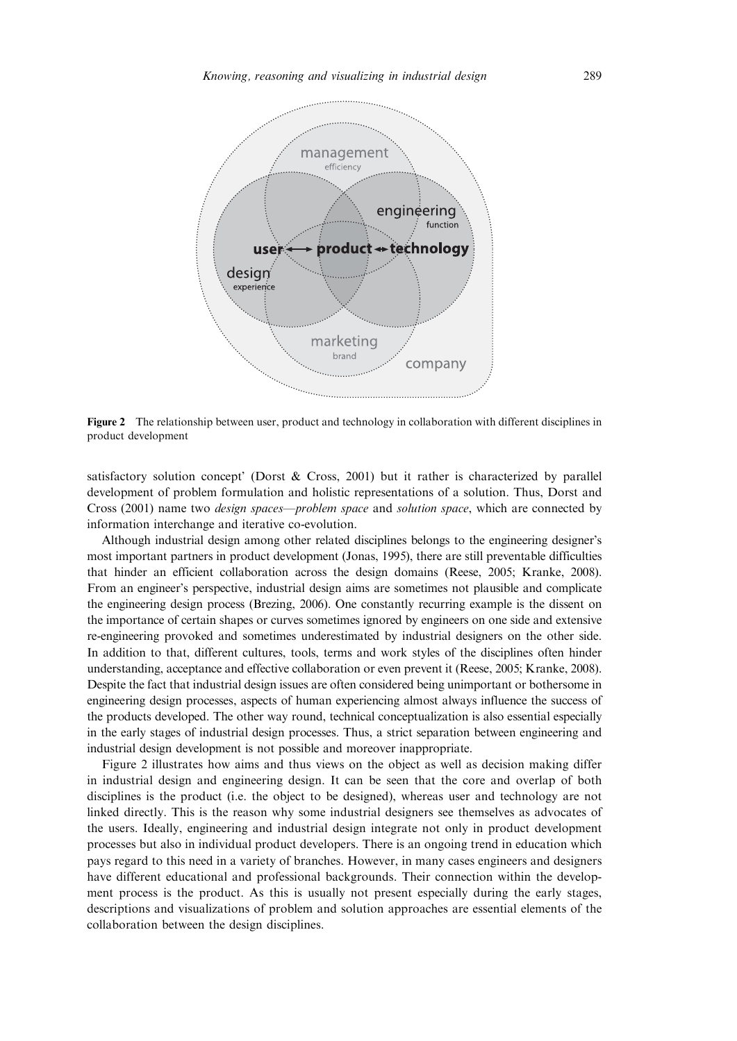

Figure 2 The relationship between user, product and technology in collaboration with different disciplines in product development

satisfactory solution concept' (Dorst & Cross, [2001](#page-14-0)) but it rather is characterized by parallel development of problem formulation and holistic representations of a solution. Thus, Dorst and Cross [\(2001\)](#page-14-0) name two design spaces—problem space and solution space, which are connected by information interchange and iterative co-evolution.

Although industrial design among other related disciplines belongs to the engineering designer's most important partners in product development (Jonas, [1995\)](#page-15-0), there are still preventable difficulties that hinder an efficient collaboration across the design domains (Reese, [2005;](#page-15-0) Kranke, [2008\)](#page-15-0). From an engineer's perspective, industrial design aims are sometimes not plausible and complicate the engineering design process (Brezing, [2006\)](#page-14-0). One constantly recurring example is the dissent on the importance of certain shapes or curves sometimes ignored by engineers on one side and extensive re-engineering provoked and sometimes underestimated by industrial designers on the other side. In addition to that, different cultures, tools, terms and work styles of the disciplines often hinder understanding, acceptance and effective collaboration or even prevent it (Reese, [2005;](#page-15-0) Kranke, [2008\)](#page-15-0). Despite the fact that industrial design issues are often considered being unimportant or bothersome in engineering design processes, aspects of human experiencing almost always influence the success of the products developed. The other way round, technical conceptualization is also essential especially in the early stages of industrial design processes. Thus, a strict separation between engineering and industrial design development is not possible and moreover inappropriate.

Figure 2 illustrates how aims and thus views on the object as well as decision making differ in industrial design and engineering design. It can be seen that the core and overlap of both disciplines is the product (i.e. the object to be designed), whereas user and technology are not linked directly. This is the reason why some industrial designers see themselves as advocates of the users. Ideally, engineering and industrial design integrate not only in product development processes but also in individual product developers. There is an ongoing trend in education which pays regard to this need in a variety of branches. However, in many cases engineers and designers have different educational and professional backgrounds. Their connection within the development process is the product. As this is usually not present especially during the early stages, descriptions and visualizations of problem and solution approaches are essential elements of the collaboration between the design disciplines.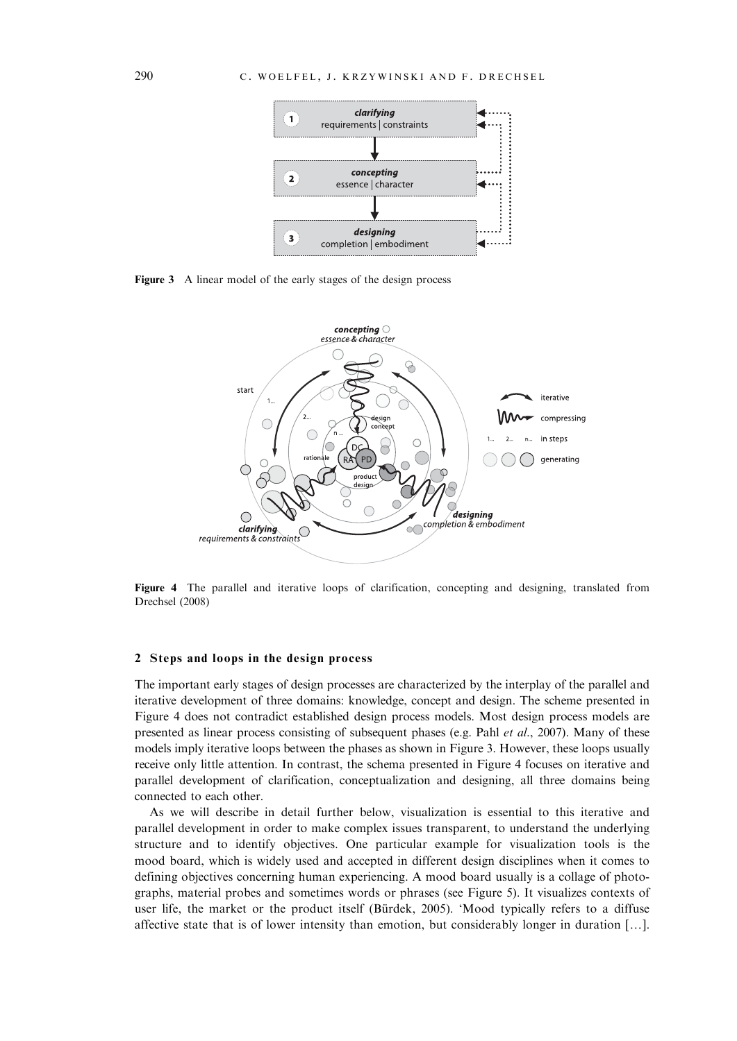

Figure 3 A linear model of the early stages of the design process



Figure 4 The parallel and iterative loops of clarification, concepting and designing, translated from Drechsel [\(2008](#page-14-0))

## 2 Steps and loops in the design process

The important early stages of design processes are characterized by the interplay of the parallel and iterative development of three domains: knowledge, concept and design. The scheme presented in Figure 4 does not contradict established design process models. Most design process models are presented as linear process consisting of subsequent phases (e.g. Pahl et al., [2007\)](#page-15-0). Many of these models imply iterative loops between the phases as shown in Figure 3. However, these loops usually receive only little attention. In contrast, the schema presented in Figure 4 focuses on iterative and parallel development of clarification, conceptualization and designing, all three domains being connected to each other.

As we will describe in detail further below, visualization is essential to this iterative and parallel development in order to make complex issues transparent, to understand the underlying structure and to identify objectives. One particular example for visualization tools is the mood board, which is widely used and accepted in different design disciplines when it comes to defining objectives concerning human experiencing. A mood board usually is a collage of photographs, material probes and sometimes words or phrases (see [Figure 5](#page-4-0)). It visualizes contexts of user life, the market or the product itself (Bürdek, [2005](#page-14-0)). 'Mood typically refers to a diffuse affective state that is of lower intensity than emotion, but considerably longer in duration  $[\dots]$ .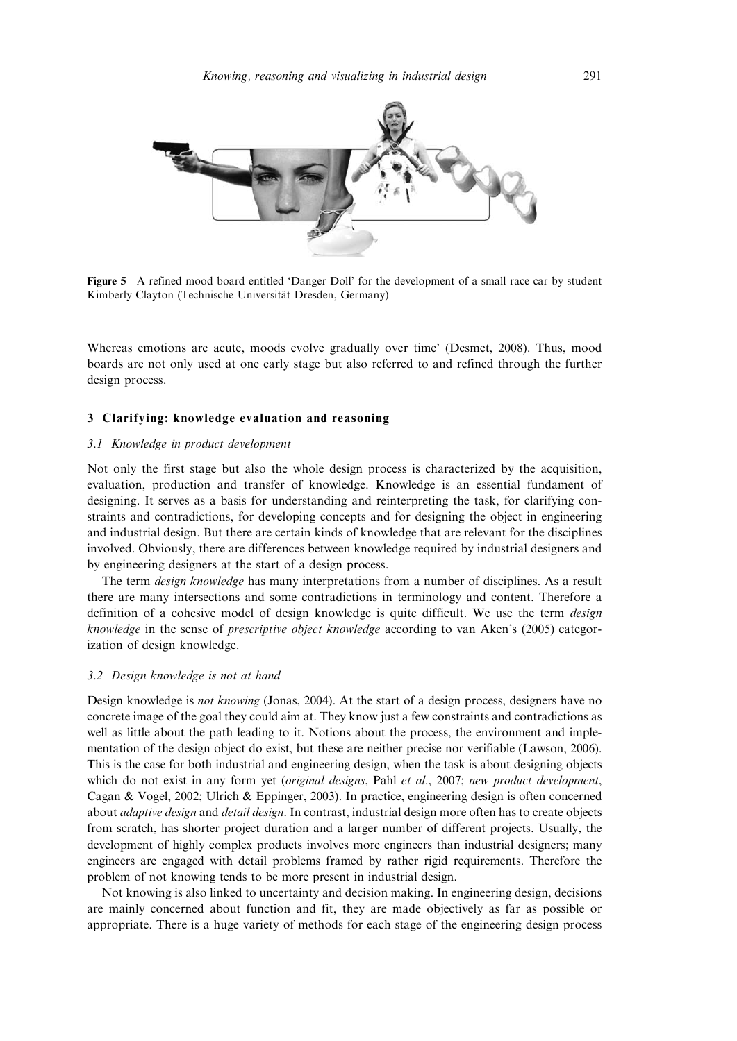<span id="page-4-0"></span>

Figure 5 A refined mood board entitled 'Danger Doll' for the development of a small race car by student Kimberly Clayton (Technische Universität Dresden, Germany)

Whereas emotions are acute, moods evolve gradually over time' (Desmet, [2008\)](#page-14-0). Thus, mood boards are not only used at one early stage but also referred to and refined through the further design process.

# 3 Clarifying: knowledge evaluation and reasoning

# 3.1 Knowledge in product development

Not only the first stage but also the whole design process is characterized by the acquisition, evaluation, production and transfer of knowledge. Knowledge is an essential fundament of designing. It serves as a basis for understanding and reinterpreting the task, for clarifying constraints and contradictions, for developing concepts and for designing the object in engineering and industrial design. But there are certain kinds of knowledge that are relevant for the disciplines involved. Obviously, there are differences between knowledge required by industrial designers and by engineering designers at the start of a design process.

The term *design knowledge* has many interpretations from a number of disciplines. As a result there are many intersections and some contradictions in terminology and content. Therefore a definition of a cohesive model of design knowledge is quite difficult. We use the term design knowledge in the sense of prescriptive object knowledge according to van Aken's ([2005\)](#page-15-0) categorization of design knowledge.

# 3.2 Design knowledge is not at hand

Design knowledge is *not knowing* (Jonas, [2004](#page-15-0)). At the start of a design process, designers have no concrete image of the goal they could aim at. They know just a few constraints and contradictions as well as little about the path leading to it. Notions about the process, the environment and implementation of the design object do exist, but these are neither precise nor verifiable (Lawson, [2006](#page-15-0)). This is the case for both industrial and engineering design, when the task is about designing objects which do not exist in any form yet (original designs, Pahl et al., [2007](#page-15-0); new product development, Cagan & Vogel, [2002;](#page-14-0) Ulrich & Eppinger, [2003](#page-15-0)). In practice, engineering design is often concerned about *adaptive design* and *detail design*. In contrast, industrial design more often has to create objects from scratch, has shorter project duration and a larger number of different projects. Usually, the development of highly complex products involves more engineers than industrial designers; many engineers are engaged with detail problems framed by rather rigid requirements. Therefore the problem of not knowing tends to be more present in industrial design.

Not knowing is also linked to uncertainty and decision making. In engineering design, decisions are mainly concerned about function and fit, they are made objectively as far as possible or appropriate. There is a huge variety of methods for each stage of the engineering design process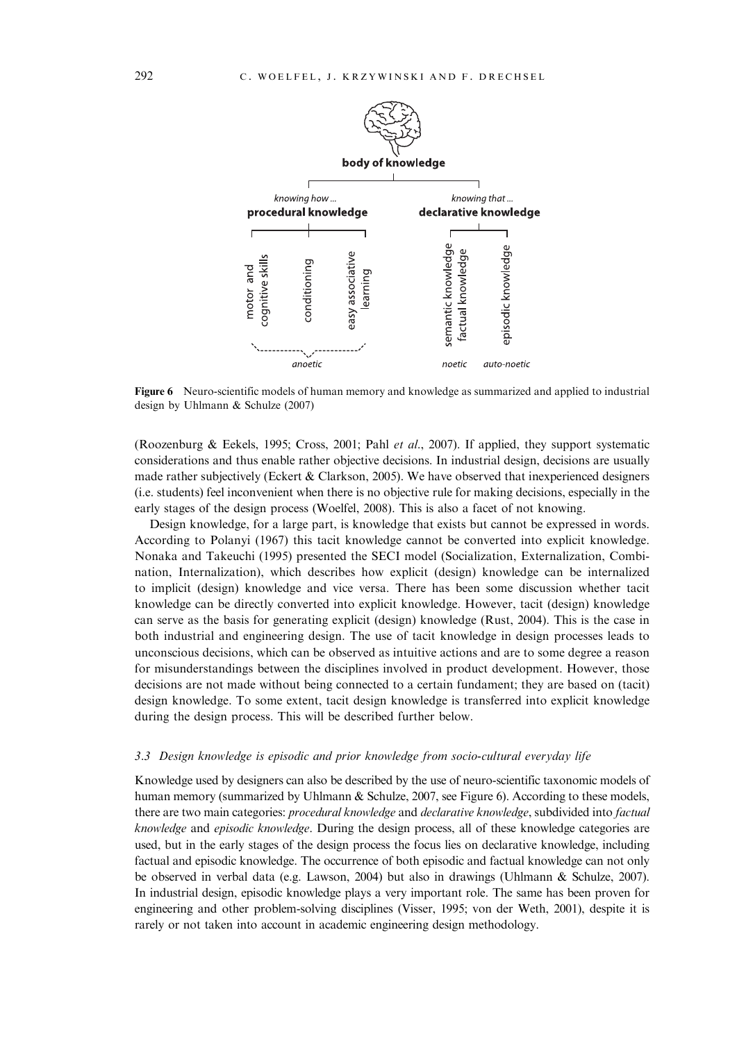

Figure 6 Neuro-scientific models of human memory and knowledge as summarized and applied to industrial design by Uhlmann & Schulze ([2007\)](#page-15-0)

(Roozenburg & Eekels, [1995](#page-15-0); Cross, [2001;](#page-14-0) Pahl et al., [2007\)](#page-15-0). If applied, they support systematic considerations and thus enable rather objective decisions. In industrial design, decisions are usually made rather subjectively (Eckert  $\&$  Clarkson, [2005](#page-14-0)). We have observed that inexperienced designers (i.e. students) feel inconvenient when there is no objective rule for making decisions, especially in the early stages of the design process (Woelfel, [2008](#page-15-0)). This is also a facet of not knowing.

Design knowledge, for a large part, is knowledge that exists but cannot be expressed in words. According to Polanyi ([1967\)](#page-15-0) this tacit knowledge cannot be converted into explicit knowledge. Nonaka and Takeuchi ([1995\)](#page-15-0) presented the SECI model (Socialization, Externalization, Combination, Internalization), which describes how explicit (design) knowledge can be internalized to implicit (design) knowledge and vice versa. There has been some discussion whether tacit knowledge can be directly converted into explicit knowledge. However, tacit (design) knowledge can serve as the basis for generating explicit (design) knowledge (Rust, [2004](#page-15-0)). This is the case in both industrial and engineering design. The use of tacit knowledge in design processes leads to unconscious decisions, which can be observed as intuitive actions and are to some degree a reason for misunderstandings between the disciplines involved in product development. However, those decisions are not made without being connected to a certain fundament; they are based on (tacit) design knowledge. To some extent, tacit design knowledge is transferred into explicit knowledge during the design process. This will be described further below.

#### 3.3 Design knowledge is episodic and prior knowledge from socio-cultural everyday life

Knowledge used by designers can also be described by the use of neuro-scientific taxonomic models of human memory (summarized by Uhlmann & Schulze, [2007,](#page-15-0) see Figure 6). According to these models, there are two main categories: *procedural knowledge* and *declarative knowledge*, subdivided into *factual* knowledge and episodic knowledge. During the design process, all of these knowledge categories are used, but in the early stages of the design process the focus lies on declarative knowledge, including factual and episodic knowledge. The occurrence of both episodic and factual knowledge can not only be observed in verbal data (e.g. Lawson, [2004\)](#page-15-0) but also in drawings (Uhlmann & Schulze, [2007](#page-15-0)). In industrial design, episodic knowledge plays a very important role. The same has been proven for engineering and other problem-solving disciplines (Visser, [1995](#page-15-0); von der Weth, [2001\)](#page-15-0), despite it is rarely or not taken into account in academic engineering design methodology.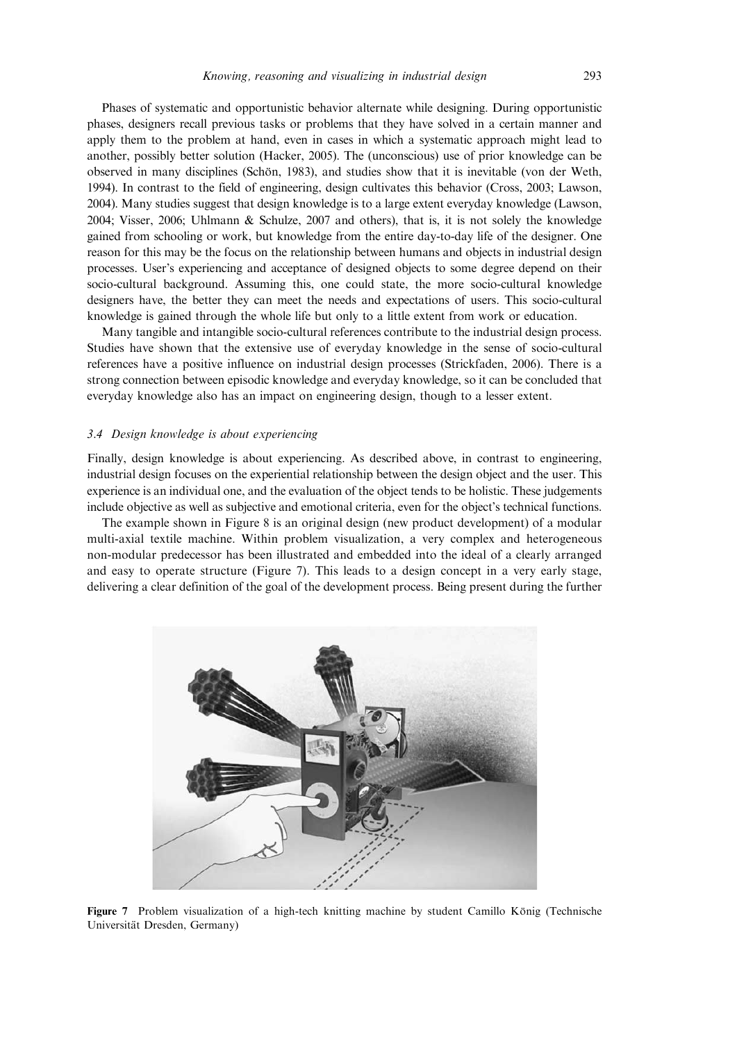Phases of systematic and opportunistic behavior alternate while designing. During opportunistic phases, designers recall previous tasks or problems that they have solved in a certain manner and apply them to the problem at hand, even in cases in which a systematic approach might lead to another, possibly better solution (Hacker, [2005\)](#page-14-0). The (unconscious) use of prior knowledge can be observed in many disciplines (Schön, [1983\)](#page-15-0), and studies show that it is inevitable (von der Weth, [1994\)](#page-15-0). In contrast to the field of engineering, design cultivates this behavior (Cross, [2003](#page-14-0); Lawson, [2004\)](#page-15-0). Many studies suggest that design knowledge is to a large extent everyday knowledge (Lawson, [2004;](#page-15-0) Visser, [2006](#page-15-0); Uhlmann & Schulze, [2007](#page-15-0) and others), that is, it is not solely the knowledge gained from schooling or work, but knowledge from the entire day-to-day life of the designer. One reason for this may be the focus on the relationship between humans and objects in industrial design processes. User's experiencing and acceptance of designed objects to some degree depend on their socio-cultural background. Assuming this, one could state, the more socio-cultural knowledge designers have, the better they can meet the needs and expectations of users. This socio-cultural knowledge is gained through the whole life but only to a little extent from work or education.

Many tangible and intangible socio-cultural references contribute to the industrial design process. Studies have shown that the extensive use of everyday knowledge in the sense of socio-cultural references have a positive influence on industrial design processes (Strickfaden, [2006](#page-15-0)). There is a strong connection between episodic knowledge and everyday knowledge, so it can be concluded that everyday knowledge also has an impact on engineering design, though to a lesser extent.

### 3.4 Design knowledge is about experiencing

Finally, design knowledge is about experiencing. As described above, in contrast to engineering, industrial design focuses on the experiential relationship between the design object and the user. This experience is an individual one, and the evaluation of the object tends to be holistic. These judgements include objective as well as subjective and emotional criteria, even for the object's technical functions.

The example shown in [Figure 8](#page-7-0) is an original design (new product development) of a modular multi-axial textile machine. Within problem visualization, a very complex and heterogeneous non-modular predecessor has been illustrated and embedded into the ideal of a clearly arranged and easy to operate structure (Figure 7). This leads to a design concept in a very early stage, delivering a clear definition of the goal of the development process. Being present during the further



Figure 7 Problem visualization of a high-tech knitting machine by student Camillo König (Technische Universität Dresden, Germany)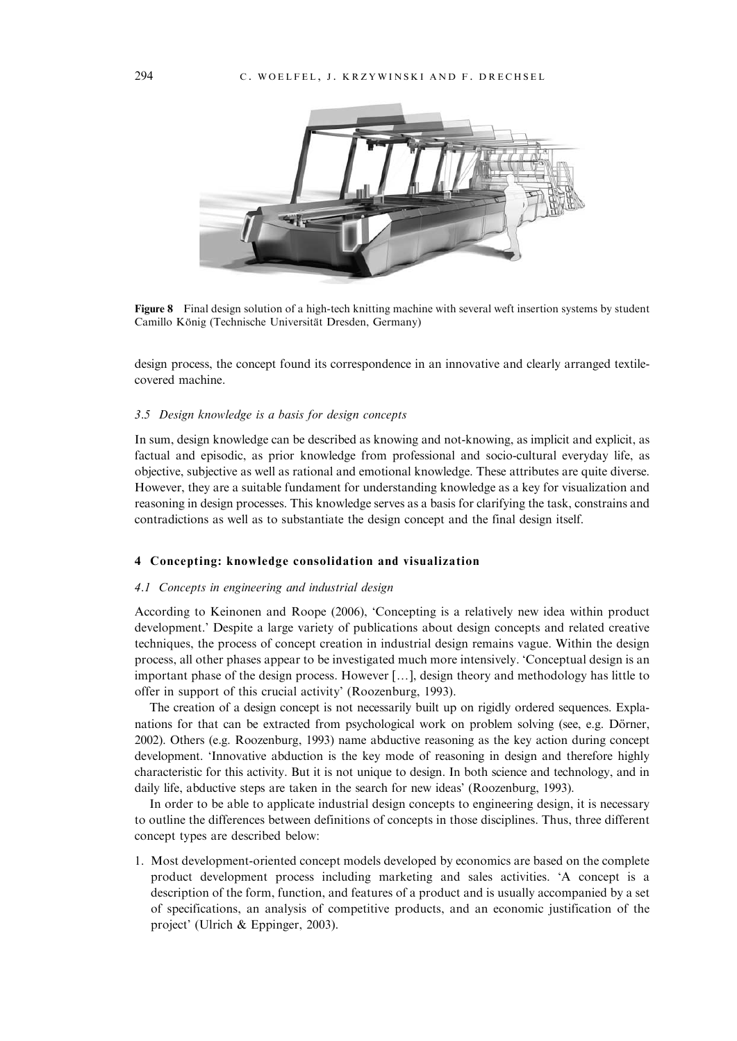<span id="page-7-0"></span>

Figure 8 Final design solution of a high-tech knitting machine with several weft insertion systems by student Camillo König (Technische Universität Dresden, Germany)

design process, the concept found its correspondence in an innovative and clearly arranged textilecovered machine.

## 3.5 Design knowledge is a basis for design concepts

In sum, design knowledge can be described as knowing and not-knowing, as implicit and explicit, as factual and episodic, as prior knowledge from professional and socio-cultural everyday life, as objective, subjective as well as rational and emotional knowledge. These attributes are quite diverse. However, they are a suitable fundament for understanding knowledge as a key for visualization and reasoning in design processes. This knowledge serves as a basis for clarifying the task, constrains and contradictions as well as to substantiate the design concept and the final design itself.

#### 4 Concepting: knowledge consolidation and visualization

#### 4.1 Concepts in engineering and industrial design

According to Keinonen and Roope ([2006\)](#page-15-0), 'Concepting is a relatively new idea within product development.' Despite a large variety of publications about design concepts and related creative techniques, the process of concept creation in industrial design remains vague. Within the design process, all other phases appear to be investigated much more intensively. 'Conceptual design is an important phase of the design process. However  $[\,\ldots\,]$ , design theory and methodology has little to offer in support of this crucial activity' (Roozenburg, [1993\)](#page-15-0).

The creation of a design concept is not necessarily built up on rigidly ordered sequences. Explanations for that can be extracted from psychological work on problem solving (see, e.g. Dörner, [2002](#page-14-0)). Others (e.g. Roozenburg, [1993\)](#page-15-0) name abductive reasoning as the key action during concept development. 'Innovative abduction is the key mode of reasoning in design and therefore highly characteristic for this activity. But it is not unique to design. In both science and technology, and in daily life, abductive steps are taken in the search for new ideas' (Roozenburg, [1993](#page-15-0)).

In order to be able to applicate industrial design concepts to engineering design, it is necessary to outline the differences between definitions of concepts in those disciplines. Thus, three different concept types are described below:

1. Most development-oriented concept models developed by economics are based on the complete product development process including marketing and sales activities. 'A concept is a description of the form, function, and features of a product and is usually accompanied by a set of specifications, an analysis of competitive products, and an economic justification of the project' (Ulrich & Eppinger, [2003\)](#page-15-0).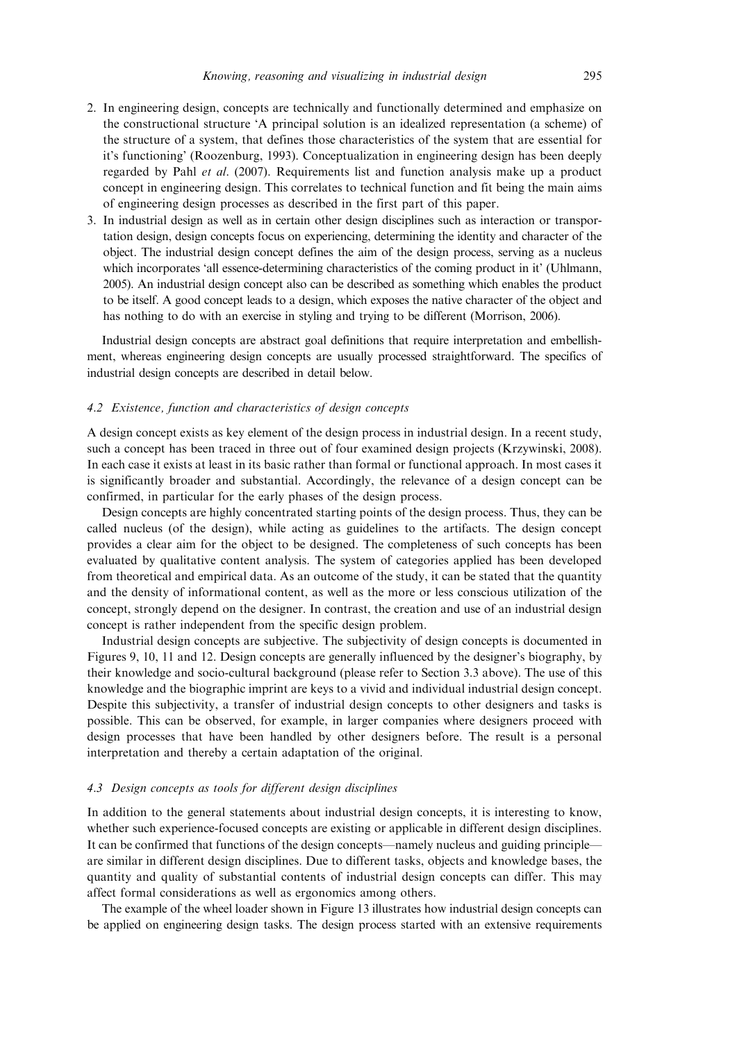- 2. In engineering design, concepts are technically and functionally determined and emphasize on the constructional structure 'A principal solution is an idealized representation (a scheme) of the structure of a system, that defines those characteristics of the system that are essential for it's functioning' (Roozenburg, [1993\)](#page-15-0). Conceptualization in engineering design has been deeply regarded by Pahl et al. ([2007\)](#page-15-0). Requirements list and function analysis make up a product concept in engineering design. This correlates to technical function and fit being the main aims of engineering design processes as described in the first part of this paper.
- 3. In industrial design as well as in certain other design disciplines such as interaction or transportation design, design concepts focus on experiencing, determining the identity and character of the object. The industrial design concept defines the aim of the design process, serving as a nucleus which incorporates 'all essence-determining characteristics of the coming product in it' (Uhlmann, [2005\)](#page-15-0). An industrial design concept also can be described as something which enables the product to be itself. A good concept leads to a design, which exposes the native character of the object and has nothing to do with an exercise in styling and trying to be different (Morrison, [2006](#page-15-0)).

Industrial design concepts are abstract goal definitions that require interpretation and embellishment, whereas engineering design concepts are usually processed straightforward. The specifics of industrial design concepts are described in detail below.

#### 4.2 Existence, function and characteristics of design concepts

A design concept exists as key element of the design process in industrial design. In a recent study, such a concept has been traced in three out of four examined design projects (Krzywinski, [2008](#page-15-0)). In each case it exists at least in its basic rather than formal or functional approach. In most cases it is significantly broader and substantial. Accordingly, the relevance of a design concept can be confirmed, in particular for the early phases of the design process.

Design concepts are highly concentrated starting points of the design process. Thus, they can be called nucleus (of the design), while acting as guidelines to the artifacts. The design concept provides a clear aim for the object to be designed. The completeness of such concepts has been evaluated by qualitative content analysis. The system of categories applied has been developed from theoretical and empirical data. As an outcome of the study, it can be stated that the quantity and the density of informational content, as well as the more or less conscious utilization of the concept, strongly depend on the designer. In contrast, the creation and use of an industrial design concept is rather independent from the specific design problem.

Industrial design concepts are subjective. The subjectivity of design concepts is documented in [Figures 9, 10](#page-9-0), [11](#page-10-0) and [12](#page-10-0). Design concepts are generally influenced by the designer's biography, by their knowledge and socio-cultural background (please refer to Section 3.3 above). The use of this knowledge and the biographic imprint are keys to a vivid and individual industrial design concept. Despite this subjectivity, a transfer of industrial design concepts to other designers and tasks is possible. This can be observed, for example, in larger companies where designers proceed with design processes that have been handled by other designers before. The result is a personal interpretation and thereby a certain adaptation of the original.

# 4.3 Design concepts as tools for different design disciplines

In addition to the general statements about industrial design concepts, it is interesting to know, whether such experience-focused concepts are existing or applicable in different design disciplines. It can be confirmed that functions of the design concepts—namely nucleus and guiding principle are similar in different design disciplines. Due to different tasks, objects and knowledge bases, the quantity and quality of substantial contents of industrial design concepts can differ. This may affect formal considerations as well as ergonomics among others.

The example of the wheel loader shown in [Figure 13](#page-10-0) illustrates how industrial design concepts can be applied on engineering design tasks. The design process started with an extensive requirements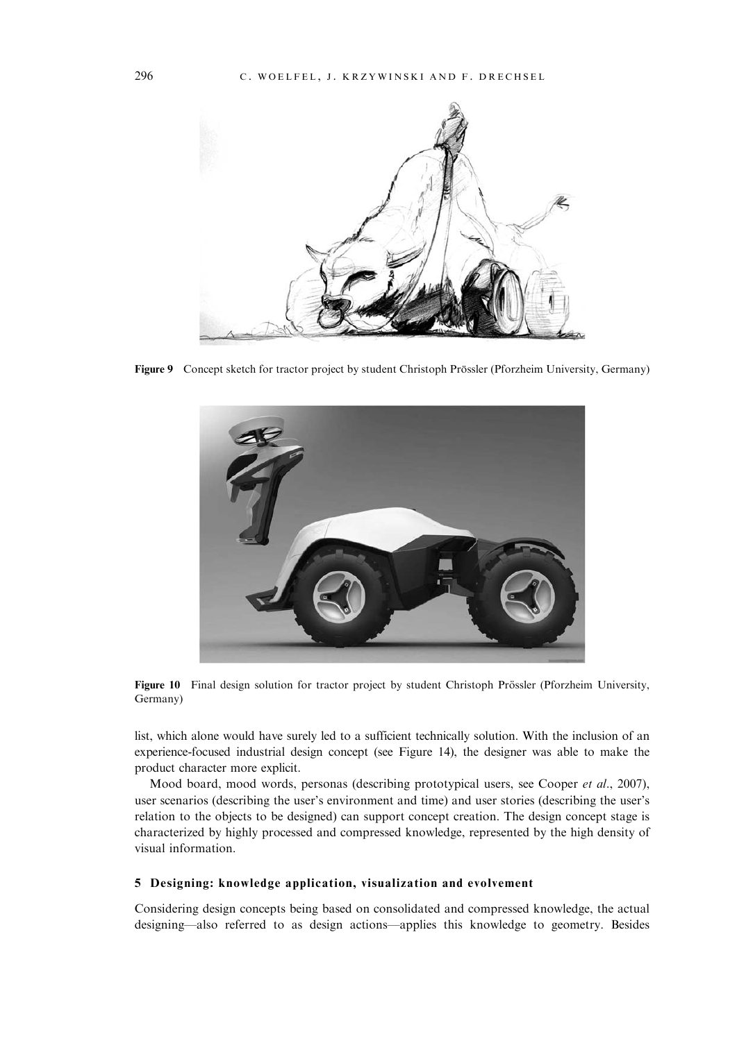<span id="page-9-0"></span>

Figure 9 Concept sketch for tractor project by student Christoph Prössler (Pforzheim University, Germany)



Figure 10 Final design solution for tractor project by student Christoph Prössler (Pforzheim University, Germany)

list, which alone would have surely led to a sufficient technically solution. With the inclusion of an experience-focused industrial design concept (see [Figure 14\)](#page-11-0), the designer was able to make the product character more explicit.

Mood board, mood words, personas (describing prototypical users, see Cooper *et al.*, [2007\)](#page-14-0), user scenarios (describing the user's environment and time) and user stories (describing the user's relation to the objects to be designed) can support concept creation. The design concept stage is characterized by highly processed and compressed knowledge, represented by the high density of visual information.

# 5 Designing: knowledge application, visualization and evolvement

Considering design concepts being based on consolidated and compressed knowledge, the actual designing—also referred to as design actions—applies this knowledge to geometry. Besides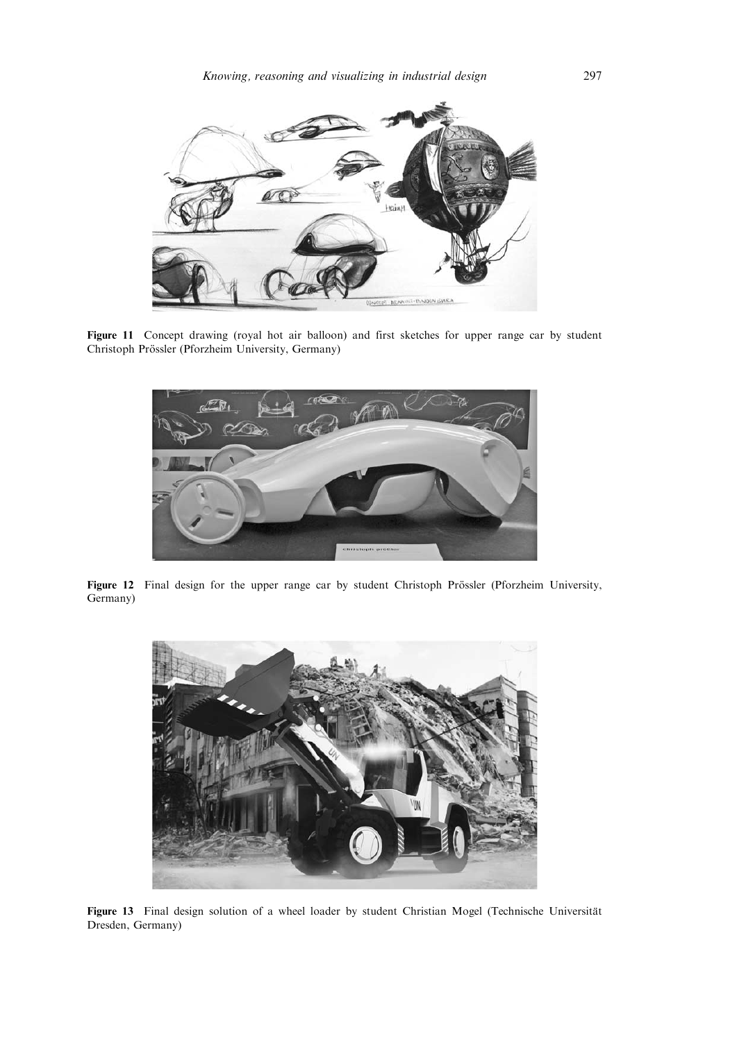<span id="page-10-0"></span>

Figure 11 Concept drawing (royal hot air balloon) and first sketches for upper range car by student Christoph Prössler (Pforzheim University, Germany)



Figure 12 Final design for the upper range car by student Christoph Prössler (Pforzheim University, Germany)



Figure 13 Final design solution of a wheel loader by student Christian Mogel (Technische Universität Dresden, Germany)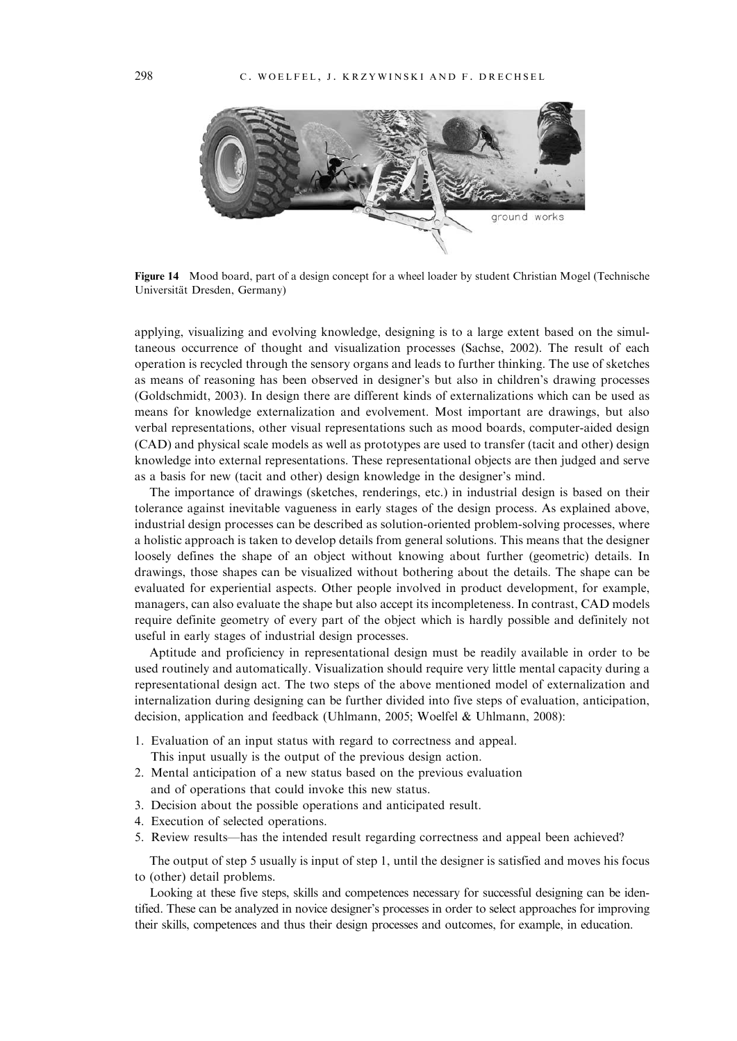<span id="page-11-0"></span>

Figure 14 Mood board, part of a design concept for a wheel loader by student Christian Mogel (Technische Universität Dresden, Germany)

applying, visualizing and evolving knowledge, designing is to a large extent based on the simultaneous occurrence of thought and visualization processes (Sachse, [2002\)](#page-15-0). The result of each operation is recycled through the sensory organs and leads to further thinking. The use of sketches as means of reasoning has been observed in designer's but also in children's drawing processes (Goldschmidt, [2003](#page-14-0)). In design there are different kinds of externalizations which can be used as means for knowledge externalization and evolvement. Most important are drawings, but also verbal representations, other visual representations such as mood boards, computer-aided design (CAD) and physical scale models as well as prototypes are used to transfer (tacit and other) design knowledge into external representations. These representational objects are then judged and serve as a basis for new (tacit and other) design knowledge in the designer's mind.

The importance of drawings (sketches, renderings, etc.) in industrial design is based on their tolerance against inevitable vagueness in early stages of the design process. As explained above, industrial design processes can be described as solution-oriented problem-solving processes, where a holistic approach is taken to develop details from general solutions. This means that the designer loosely defines the shape of an object without knowing about further (geometric) details. In drawings, those shapes can be visualized without bothering about the details. The shape can be evaluated for experiential aspects. Other people involved in product development, for example, managers, can also evaluate the shape but also accept its incompleteness. In contrast, CAD models require definite geometry of every part of the object which is hardly possible and definitely not useful in early stages of industrial design processes.

Aptitude and proficiency in representational design must be readily available in order to be used routinely and automatically. Visualization should require very little mental capacity during a representational design act. The two steps of the above mentioned model of externalization and internalization during designing can be further divided into five steps of evaluation, anticipation, decision, application and feedback (Uhlmann, [2005](#page-15-0); Woelfel & Uhlmann, [2008\)](#page-15-0):

- 1. Evaluation of an input status with regard to correctness and appeal. This input usually is the output of the previous design action.
- 2. Mental anticipation of a new status based on the previous evaluation and of operations that could invoke this new status.
- 3. Decision about the possible operations and anticipated result.
- 4. Execution of selected operations.
- 5. Review results—has the intended result regarding correctness and appeal been achieved?

The output of step 5 usually is input of step 1, until the designer is satisfied and moves his focus to (other) detail problems.

Looking at these five steps, skills and competences necessary for successful designing can be identified. These can be analyzed in novice designer's processes in order to select approaches for improving their skills, competences and thus their design processes and outcomes, for example, in education.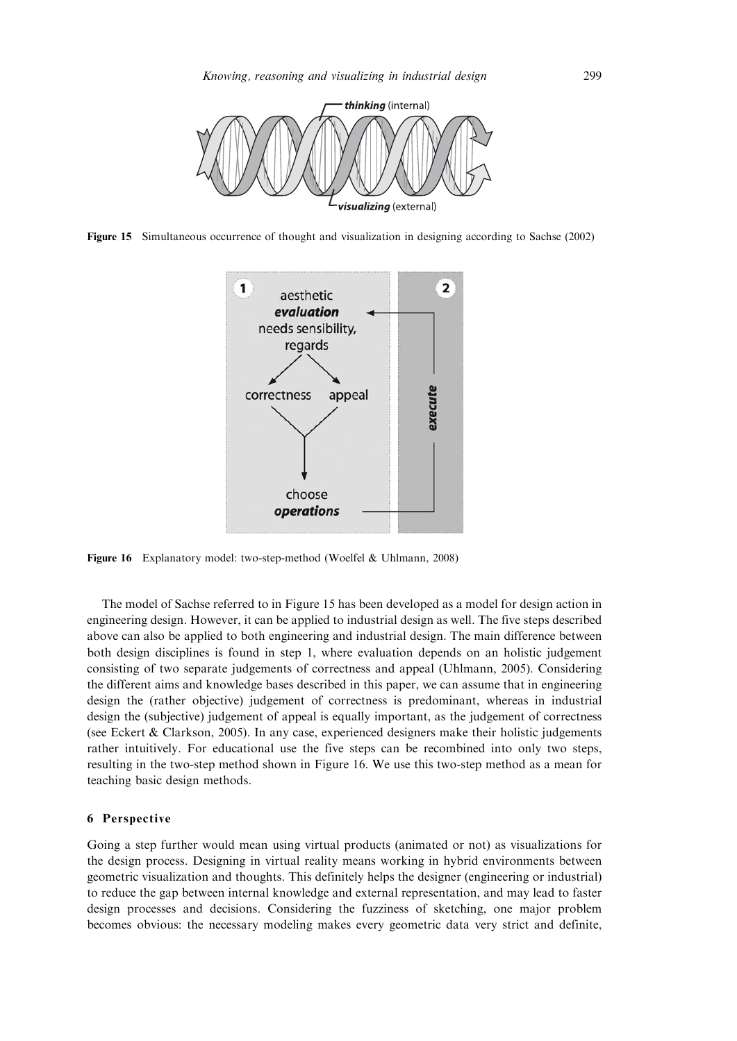

Figure 15 Simultaneous occurrence of thought and visualization in designing according to Sachse [\(2002](#page-15-0))



Figure 16 Explanatory model: two-step-method (Woelfel & Uhlmann, [2008\)](#page-15-0)

The model of Sachse referred to in Figure 15 has been developed as a model for design action in engineering design. However, it can be applied to industrial design as well. The five steps described above can also be applied to both engineering and industrial design. The main difference between both design disciplines is found in step 1, where evaluation depends on an holistic judgement consisting of two separate judgements of correctness and appeal (Uhlmann, [2005](#page-15-0)). Considering the different aims and knowledge bases described in this paper, we can assume that in engineering design the (rather objective) judgement of correctness is predominant, whereas in industrial design the (subjective) judgement of appeal is equally important, as the judgement of correctness (see Eckert & Clarkson, [2005](#page-14-0)). In any case, experienced designers make their holistic judgements rather intuitively. For educational use the five steps can be recombined into only two steps, resulting in the two-step method shown in Figure 16. We use this two-step method as a mean for teaching basic design methods.

# 6 Perspective

Going a step further would mean using virtual products (animated or not) as visualizations for the design process. Designing in virtual reality means working in hybrid environments between geometric visualization and thoughts. This definitely helps the designer (engineering or industrial) to reduce the gap between internal knowledge and external representation, and may lead to faster design processes and decisions. Considering the fuzziness of sketching, one major problem becomes obvious: the necessary modeling makes every geometric data very strict and definite,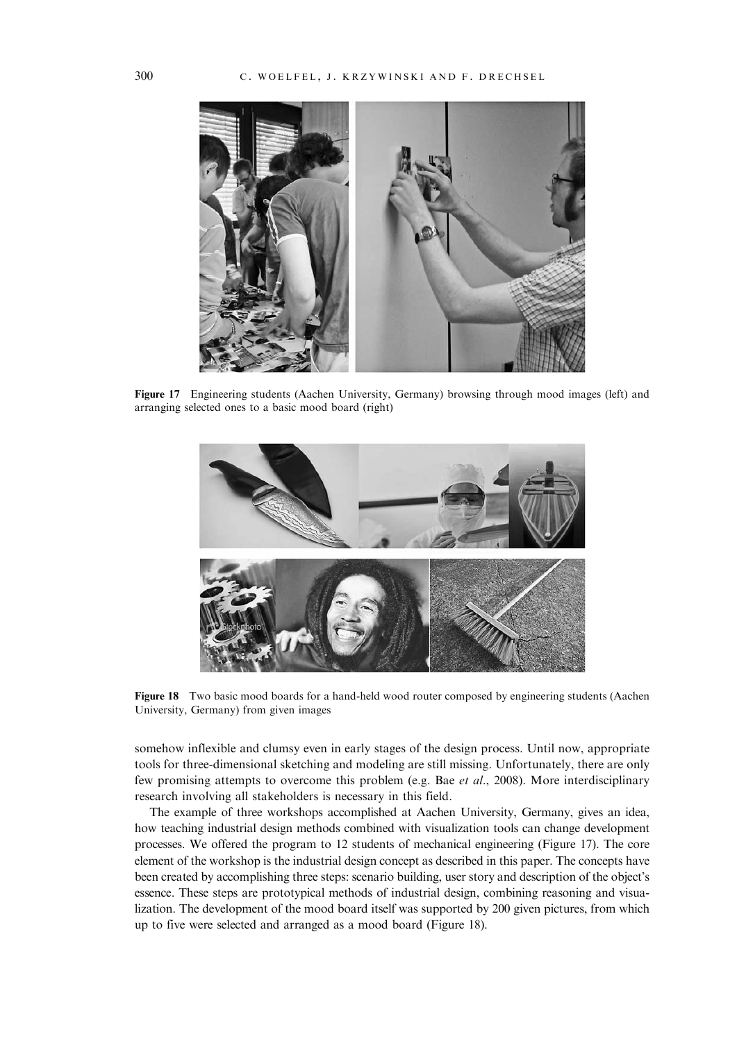

Figure 17 Engineering students (Aachen University, Germany) browsing through mood images (left) and arranging selected ones to a basic mood board (right)



Figure 18 Two basic mood boards for a hand-held wood router composed by engineering students (Aachen University, Germany) from given images

somehow inflexible and clumsy even in early stages of the design process. Until now, appropriate tools for three-dimensional sketching and modeling are still missing. Unfortunately, there are only few promising attempts to overcome this problem (e.g. Bae et al., [2008\)](#page-14-0). More interdisciplinary research involving all stakeholders is necessary in this field.

The example of three workshops accomplished at Aachen University, Germany, gives an idea, how teaching industrial design methods combined with visualization tools can change development processes. We offered the program to 12 students of mechanical engineering (Figure 17). The core element of the workshop is the industrial design concept as described in this paper. The concepts have been created by accomplishing three steps: scenario building, user story and description of the object's essence. These steps are prototypical methods of industrial design, combining reasoning and visualization. The development of the mood board itself was supported by 200 given pictures, from which up to five were selected and arranged as a mood board (Figure 18).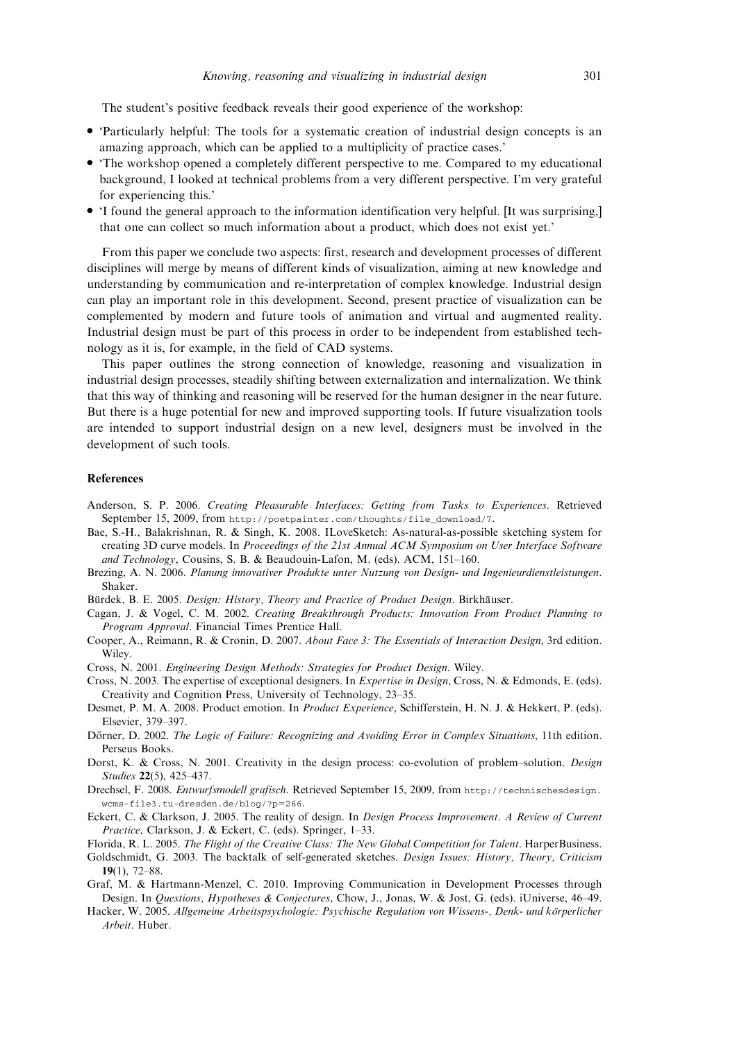<span id="page-14-0"></span>The student's positive feedback reveals their good experience of the workshop:

- <sup>&</sup>gt; 'Particularly helpful: The tools for a systematic creation of industrial design concepts is an amazing approach, which can be applied to a multiplicity of practice cases.'
- <sup>&</sup>gt; 'The workshop opened a completely different perspective to me. Compared to my educational background, I looked at technical problems from a very different perspective. I'm very grateful for experiencing this.'
- <sup>&</sup>gt; 'I found the general approach to the information identification very helpful. [It was surprising,] that one can collect so much information about a product, which does not exist yet.'

From this paper we conclude two aspects: first, research and development processes of different disciplines will merge by means of different kinds of visualization, aiming at new knowledge and understanding by communication and re-interpretation of complex knowledge. Industrial design can play an important role in this development. Second, present practice of visualization can be complemented by modern and future tools of animation and virtual and augmented reality. Industrial design must be part of this process in order to be independent from established technology as it is, for example, in the field of CAD systems.

This paper outlines the strong connection of knowledge, reasoning and visualization in industrial design processes, steadily shifting between externalization and internalization. We think that this way of thinking and reasoning will be reserved for the human designer in the near future. But there is a huge potential for new and improved supporting tools. If future visualization tools are intended to support industrial design on a new level, designers must be involved in the development of such tools.

# References

- Anderson, S. P. 2006. Creating Pleasurable Interfaces: Getting from Tasks to Experiences. Retrieved September 15, 2009, from http://poetpainter.com/thoughts/file\_download/7.
- Bae, S.-H., Balakrishnan, R. & Singh, K. 2008. ILoveSketch: As-natural-as-possible sketching system for creating 3D curve models. In Proceedings of the 21st Annual ACM Symposium on User Interface Software and Technology, Cousins, S. B. & Beaudouin-Lafon, M. (eds). ACM, 151–160.
- Brezing, A. N. 2006. Planung innovativer Produkte unter Nutzung von Design- und Ingenieurdienstleistungen. Shaker.
- Bürdek, B. E. 2005. Design: History, Theory and Practice of Product Design. Birkhäuser.
- Cagan, J. & Vogel, C. M. 2002. Creating Breakthrough Products: Innovation From Product Planning to Program Approval. Financial Times Prentice Hall.
- Cooper, A., Reimann, R. & Cronin, D. 2007. About Face 3: The Essentials of Interaction Design, 3rd edition. Wiley.
- Cross, N. 2001. Engineering Design Methods: Strategies for Product Design. Wiley.
- Cross, N. 2003. The expertise of exceptional designers. In Expertise in Design, Cross, N. & Edmonds, E. (eds). Creativity and Cognition Press, University of Technology, 23–35.
- Desmet, P. M. A. 2008. Product emotion. In Product Experience, Schifferstein, H. N. J. & Hekkert, P. (eds). Elsevier, 379–397.
- Dörner, D. 2002. The Logic of Failure: Recognizing and Avoiding Error in Complex Situations, 11th edition. Perseus Books.
- Dorst, K. & Cross, N. 2001. Creativity in the design process: co-evolution of problem–solution. Design Studies 22(5), 425–437.
- Drechsel, F. 2008. Entwurfsmodell grafisch. Retrieved September 15, 2009, from http://technischesdesign. wcms-file3.tu-dresden.de/blog/?p=266.
- Eckert, C. & Clarkson, J. 2005. The reality of design. In Design Process Improvement. A Review of Current Practice, Clarkson, J. & Eckert, C. (eds). Springer, 1–33.
- Florida, R. L. 2005. The Flight of the Creative Class: The New Global Competition for Talent. HarperBusiness.
- Goldschmidt, G. 2003. The backtalk of self-generated sketches. Design Issues: History, Theory, Criticism 19(1), 72–88.
- Graf, M. & Hartmann-Menzel, C. 2010. Improving Communication in Development Processes through Design. In Questions, Hypotheses & Conjectures, Chow, J., Jonas, W. & Jost, G. (eds). iUniverse, 46–49.
- Hacker, W. 2005. Allgemeine Arbeitspsychologie: Psychische Regulation von Wissens-, Denk- und körperlicher Arbeit. Huber.